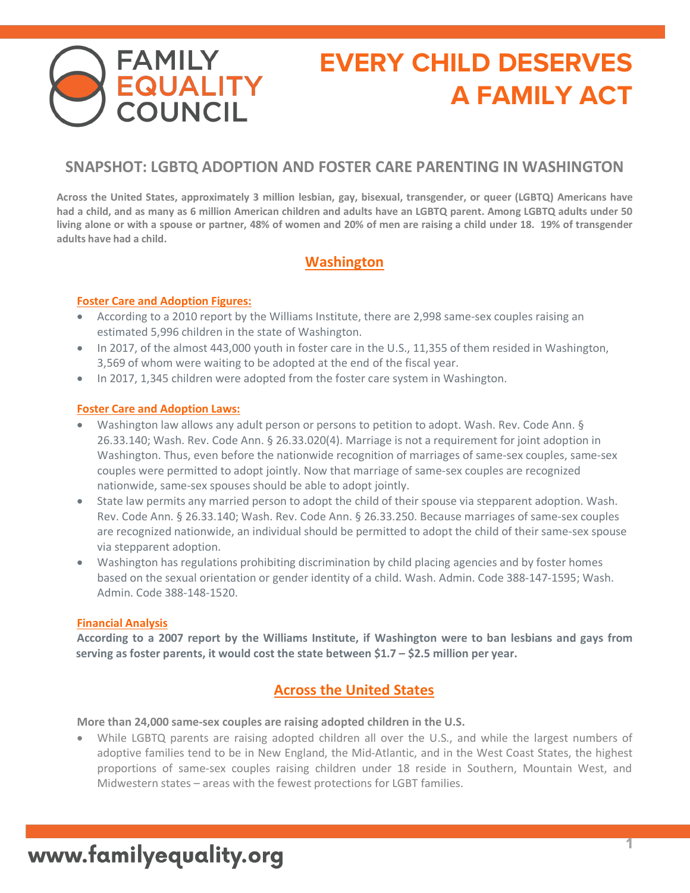# **EVERY CHILD DESERVES A FAMILY ACT**

## **SNAPSHOT: LGBTQ ADOPTION AND FOSTER CARE PARENTING IN WASHINGTON**

**Across the United States, approximately 3 million lesbian, gay, bisexual, transgender, or queer (LGBTQ) Americans have had a child, and as many as 6 million American children and adults have an LGBTQ parent. Among LGBTQ adults under 50 living alone or with a spouse or partner, 48% of women and 20% of men are raising a child under 18. 19% of transgender adults have had a child.**

## **Washington**

#### **Foster Care and Adoption Figures:**

**FAMILY<br>EQUALITY<br>COUNCIL** 

- According to a 2010 report by the Williams Institute, there are 2,998 same-sex couples raising an estimated 5,996 children in the state of Washington.
- In 2017, of the almost 443,000 youth in foster care in the U.S., 11,355 of them resided in Washington, 3,569 of whom were waiting to be adopted at the end of the fiscal year.
- In 2017, 1,345 children were adopted from the foster care system in Washington.

#### **Foster Care and Adoption Laws:**

- Washington law allows any adult person or persons to petition to adopt. Wash. Rev. Code Ann. § 26.33.140; Wash. Rev. Code Ann. § 26.33.020(4). Marriage is not a requirement for joint adoption in Washington. Thus, even before the nationwide recognition of marriages of same-sex couples, same-sex couples were permitted to adopt jointly. Now that marriage of same-sex couples are recognized nationwide, same-sex spouses should be able to adopt jointly.
- State law permits any married person to adopt the child of their spouse via stepparent adoption. Wash. Rev. Code Ann. § 26.33.140; Wash. Rev. Code Ann. § 26.33.250. Because marriages of same-sex couples are recognized nationwide, an individual should be permitted to adopt the child of their same-sex spouse via stepparent adoption.
- Washington has regulations prohibiting discrimination by child placing agencies and by foster homes based on the sexual orientation or gender identity of a child. Wash. Admin. Code 388-147-1595; Wash. Admin. Code 388-148-1520.

#### **Financial Analysis**

**According to a 2007 report by the Williams Institute, if Washington were to ban lesbians and gays from serving as foster parents, it would cost the state between \$1.7 – \$2.5 million per year.**

### **Across the United States**

**More than 24,000 same-sex couples are raising adopted children in the U.S.** 

• While LGBTQ parents are raising adopted children all over the U.S., and while the largest numbers of adoptive families tend to be in New England, the Mid-Atlantic, and in the West Coast States, the highest proportions of same-sex couples raising children under 18 reside in Southern, Mountain West, and Midwestern states – areas with the fewest protections for LGBT families.